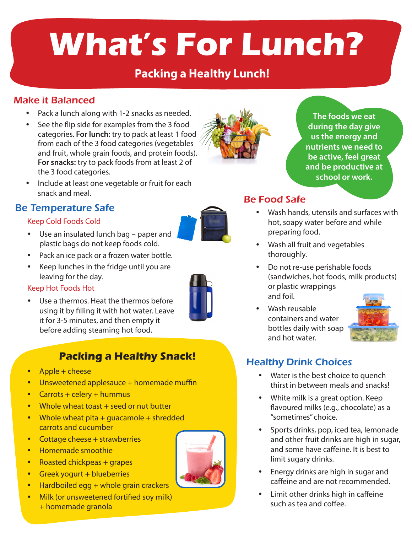# **What's For Lunch?**

# **Packing a Healthy Lunch!**

# Make it Balanced

- Pack a lunch along with 1-2 snacks as needed.
- See the flip side for examples from the 3 food categories. **For lunch:** try to pack at least 1 food from each of the 3 food categories (vegetables and fruit, whole grain foods, and protein foods). **For snacks:** try to pack foods from at least 2 of the 3 food categories.
- Include at least one vegetable or fruit for each snack and meal.

## Be Temperature Safe

#### Keep Cold Foods Cold

- Use an insulated lunch bag paper and plastic bags do not keep foods cold.
- Pack an ice pack or a frozen water bottle.
- Keep lunches in the fridge until you are leaving for the day.

#### Keep Hot Foods Hot

Use a thermos. Heat the thermos before using it by filling it with hot water. Leave it for 3-5 minutes, and then empty it before adding steaming hot food.

# **Packing a Healthy Snack!**

- $Apple + cheese$
- $\bullet$  Unsweetened applesauce + homemade muffin
- Carrots + celery + hummus
- $\bullet$  Whole wheat toast  $+$  seed or nut butter
- Whole wheat pita + quacamole + shredded carrots and cucumber
- Cottage cheese + strawberries
- Homemade smoothie
- Roasted chickpeas + grapes
- $\cdot$  Greek yogurt + blueberries
- Hardboiled egg  $+$  whole grain crackers
- Milk (or unsweetened fortified soy milk) + homemade granola

### Be Food Safe

- Wash hands, utensils and surfaces with hot, soapy water before and while preparing food.
- Wash all fruit and vegetables thoroughly.
- Do not re-use perishable foods (sandwiches, hot foods, milk products) or plastic wrappings and foil.
- Wash reusable containers and water bottles daily with soap and hot water.



# Healthy Drink Choices

- Water is the best choice to quench thirst in between meals and snacks!
- White milk is a great option. Keep flavoured milks (e.g., chocolate) as a "sometimes" choice.
- Sports drinks, pop, iced tea, lemonade and other fruit drinks are high in sugar, and some have caffeine. It is best to limit sugary drinks.
- Energy drinks are high in sugar and caffeine and are not recommended.
- Limit other drinks high in caffeine such as tea and coffee.





**The foods we eat during the day give us the energy and nutrients we need to be active, feel great and be productive at school or work.**